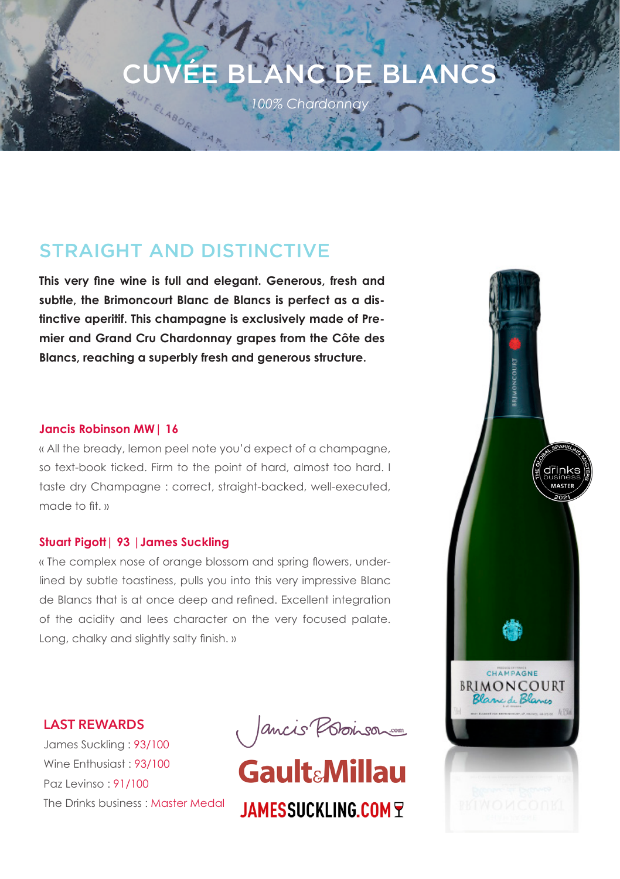# *100% Chardonnay*  CUVÉE BLANC DE BLANCS

# STRAIGHT AND DISTINCTIVE

ELABORE PA

**This very fine wine is full and elegant. Generous, fresh and subtle, the Brimoncourt Blanc de Blancs is perfect as a distinctive aperitif. This champagne is exclusively made of Premier and Grand Cru Chardonnay grapes from the Côte des Blancs, reaching a superbly fresh and generous structure.**

## **Jancis Robinson MW| 16**

« All the bready, lemon peel note you'd expect of a champagne, so text-book ticked. Firm to the point of hard, almost too hard. I taste dry Champagne : correct, straight-backed, well-executed, made to fit. »

# **Stuart Pigott| 93 |James Suckling**

« The complex nose of orange blossom and spring flowers, underlined by subtle toastiness, pulls you into this very impressive Blanc de Blancs that is at once deep and refined. Excellent integration of the acidity and lees character on the very focused palate. Long, chalky and slightly salty finish. »

**LAST REWARDS**

James Suckling : 93/100 Wine Enthusiast : 93/100 Paz Levinso : 91/100 The Drinks business : Master Medal

Jancis Possison

**JAMESSUCKLING.COM F**